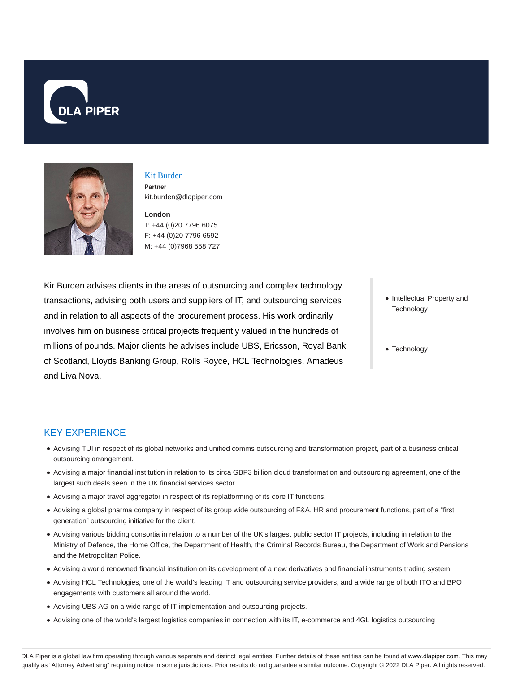



### Kit Burden **Partner** kit.burden@dlapiper.com

**London** T: +44 (0)20 7796 6075 F: +44 (0)20 7796 6592 M: +44 (0)7968 558 727

Kir Burden advises clients in the areas of outsourcing and complex technology transactions, advising both users and suppliers of IT, and outsourcing services and in relation to all aspects of the procurement process. His work ordinarily involves him on business critical projects frequently valued in the hundreds of millions of pounds. Major clients he advises include UBS, Ericsson, Royal Bank of Scotland, Lloyds Banking Group, Rolls Royce, HCL Technologies, Amadeus and Liva Nova.

- Intellectual Property and **Technology**
- Technology

# KEY EXPERIENCE

- Advising TUI in respect of its global networks and unified comms outsourcing and transformation project, part of a business critical outsourcing arrangement.
- Advising a major financial institution in relation to its circa GBP3 billion cloud transformation and outsourcing agreement, one of the largest such deals seen in the UK financial services sector.
- Advising a major travel aggregator in respect of its replatforming of its core IT functions.
- Advising a global pharma company in respect of its group wide outsourcing of F&A, HR and procurement functions, part of a "first generation" outsourcing initiative for the client.
- Advising various bidding consortia in relation to a number of the UK's largest public sector IT projects, including in relation to the Ministry of Defence, the Home Office, the Department of Health, the Criminal Records Bureau, the Department of Work and Pensions and the Metropolitan Police.
- Advising a world renowned financial institution on its development of a new derivatives and financial instruments trading system.
- Advising HCL Technologies, one of the world's leading IT and outsourcing service providers, and a wide range of both ITO and BPO engagements with customers all around the world.
- Advising UBS AG on a wide range of IT implementation and outsourcing projects.
- Advising one of the world's largest logistics companies in connection with its IT, e-commerce and 4GL logistics outsourcing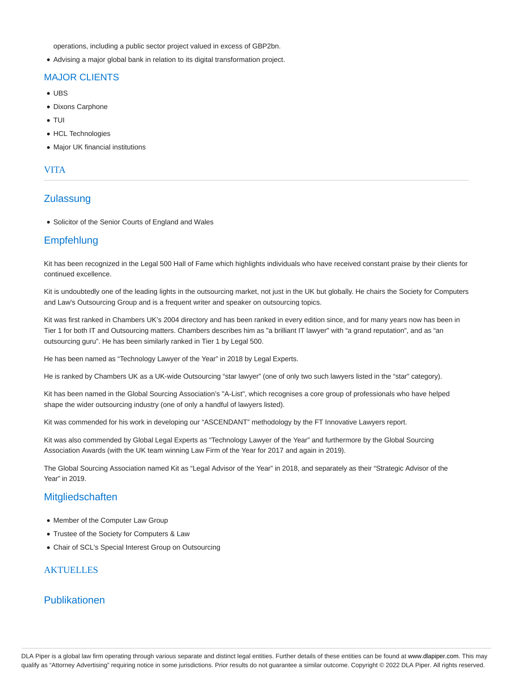operations, including a public sector project valued in excess of GBP2bn.

Advising a major global bank in relation to its digital transformation project.

# MAJOR CLIENTS

- UBS
- Dixons Carphone
- TUI
- HCL Technologies
- Major UK financial institutions

### VITA

# **Zulassung**

• Solicitor of the Senior Courts of England and Wales

# **Empfehlung**

Kit has been recognized in the Legal 500 Hall of Fame which highlights individuals who have received constant praise by their clients for continued excellence.

Kit is undoubtedly one of the leading lights in the outsourcing market, not just in the UK but globally. He chairs the Society for Computers and Law's Outsourcing Group and is a frequent writer and speaker on outsourcing topics.

Kit was first ranked in Chambers UK's 2004 directory and has been ranked in every edition since, and for many years now has been in Tier 1 for both IT and Outsourcing matters. Chambers describes him as "a brilliant IT lawyer" with "a grand reputation", and as "an outsourcing guru". He has been similarly ranked in Tier 1 by Legal 500.

He has been named as "Technology Lawyer of the Year" in 2018 by Legal Experts.

He is ranked by Chambers UK as a UK-wide Outsourcing "star lawyer" (one of only two such lawyers listed in the "star" category).

Kit has been named in the Global Sourcing Association's "A-List", which recognises a core group of professionals who have helped shape the wider outsourcing industry (one of only a handful of lawyers listed).

Kit was commended for his work in developing our "ASCENDANT" methodology by the FT Innovative Lawyers report.

Kit was also commended by Global Legal Experts as "Technology Lawyer of the Year" and furthermore by the Global Sourcing Association Awards (with the UK team winning Law Firm of the Year for 2017 and again in 2019).

The Global Sourcing Association named Kit as "Legal Advisor of the Year" in 2018, and separately as their "Strategic Advisor of the Year" in 2019.

# **Mitgliedschaften**

- Member of the Computer Law Group
- Trustee of the Society for Computers & Law
- Chair of SCL's Special Interest Group on Outsourcing

### **AKTUELLES**

# Publikationen

DLA Piper is a global law firm operating through various separate and distinct legal entities. Further details of these entities can be found at www.dlapiper.com. This may qualify as "Attorney Advertising" requiring notice in some jurisdictions. Prior results do not guarantee a similar outcome. Copyright @ 2022 DLA Piper. All rights reserved.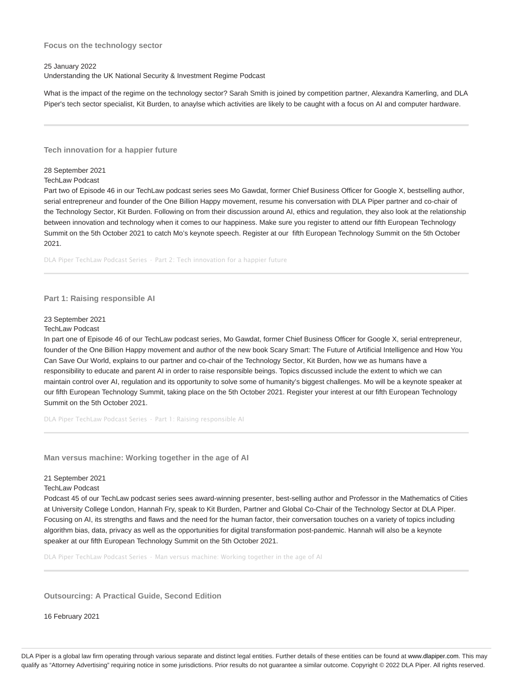#### **Focus on the technology sector**

#### 25 January 2022

Understanding the UK National Security & Investment Regime Podcast

What is the impact of the regime on the technology sector? Sarah Smith is joined by competition partner, Alexandra Kamerling, and DLA Piper's tech sector specialist, Kit Burden, to anaylse which activities are likely to be caught with a focus on AI and computer hardware.

**Tech innovation for a happier future**

#### 28 September 2021

#### TechLaw Podcast

Part two of Episode 46 in our TechLaw podcast series sees Mo Gawdat, former Chief Business Officer for Google X, bestselling author, serial entrepreneur and founder of the One Billion Happy movement, resume his conversation with DLA Piper partner and co-chair of the Technology Sector, Kit Burden. Following on from their discussion around AI, ethics and regulation, they also look at the relationship between innovation and technology when it comes to our happiness. Make sure you register to attend our fifth European Technology Summit on the 5th October 2021 to catch Mo's keynote speech. Register at our fifth European Technology Summit on the 5th October 2021.

DLA Piper TechLaw Podcast Series · Part 2: Tech innovation for a happier future

### **Part 1: Raising responsible AI**

#### 23 September 2021

#### TechLaw Podcast

In part one of Episode 46 of our TechLaw podcast series, Mo Gawdat, former Chief Business Officer for Google X, serial entrepreneur, founder of the One Billion Happy movement and author of the new book Scary Smart: The Future of Artificial Intelligence and How You Can Save Our World, explains to our partner and co-chair of the Technology Sector, Kit Burden, how we as humans have a responsibility to educate and parent AI in order to raise responsible beings. Topics discussed include the extent to which we can maintain control over AI, regulation and its opportunity to solve some of humanity's biggest challenges. Mo will be a keynote speaker at our fifth European Technology Summit, taking place on the 5th October 2021. Register your interest at our fifth European Technology Summit on the 5th October 2021.

DLA Piper TechLaw Podcast Series · Part 1: Raising responsible AI

**Man versus machine: Working together in the age of AI**

#### 21 September 2021

#### TechLaw Podcast

Podcast 45 of our TechLaw podcast series sees award-winning presenter, best-selling author and Professor in the Mathematics of Cities at University College London, Hannah Fry, speak to Kit Burden, Partner and Global Co-Chair of the Technology Sector at DLA Piper. Focusing on AI, its strengths and flaws and the need for the human factor, their conversation touches on a variety of topics including algorithm bias, data, privacy as well as the opportunities for digital transformation post-pandemic. Hannah will also be a keynote speaker at our fifth European Technology Summit on the 5th October 2021.

DLA Piper TechLaw Podcast Series · Man versus machine: Working together in the age of AI

**Outsourcing: A Practical Guide, Second Edition**

16 February 2021

DLA Piper is a global law firm operating through various separate and distinct legal entities. Further details of these entities can be found at www.dlapiper.com. This may qualify as "Attorney Advertising" requiring notice in some jurisdictions. Prior results do not guarantee a similar outcome. Copyright @ 2022 DLA Piper. All rights reserved.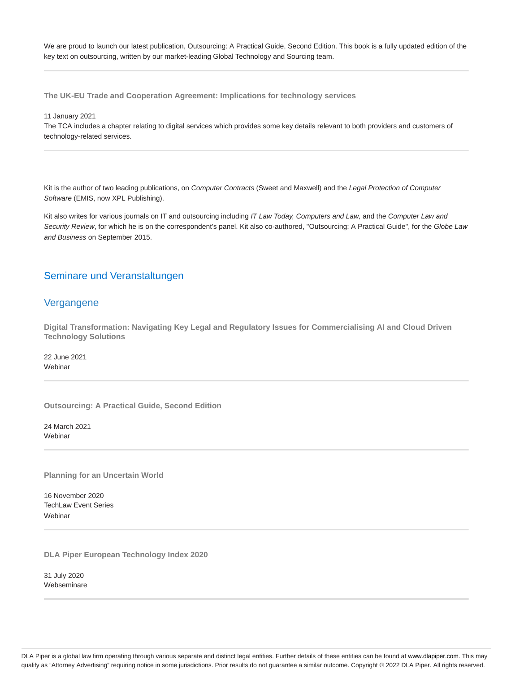We are proud to launch our latest publication, Outsourcing: A Practical Guide, Second Edition. This book is a fully updated edition of the key text on outsourcing, written by our market-leading Global Technology and Sourcing team.

**The UK-EU Trade and Cooperation Agreement: Implications for technology services**

11 January 2021

The TCA includes a chapter relating to digital services which provides some key details relevant to both providers and customers of technology-related services.

Kit is the author of two leading publications, on Computer Contracts (Sweet and Maxwell) and the Legal Protection of Computer Software (EMIS, now XPL Publishing).

Kit also writes for various journals on IT and outsourcing including IT Law Today, Computers and Law, and the Computer Law and Security Review, for which he is on the correspondent's panel. Kit also co-authored, ''Outsourcing: A Practical Guide", for the Globe Law and Business on September 2015.

### Seminare und Veranstaltungen

### Vergangene

**Digital Transformation: Navigating Key Legal and Regulatory Issues for Commercialising AI and Cloud Driven Technology Solutions**

22 June 2021 **Webinar** 

**Outsourcing: A Practical Guide, Second Edition**

24 March 2021 **Webinar** 

**Planning for an Uncertain World**

16 November 2020 TechLaw Event Series Webinar

**DLA Piper European Technology Index 2020**

31 July 2020 Webseminare

DLA Piper is a global law firm operating through various separate and distinct legal entities. Further details of these entities can be found at www.dlapiper.com. This may qualify as "Attorney Advertising" requiring notice in some jurisdictions. Prior results do not guarantee a similar outcome. Copyright @ 2022 DLA Piper. All rights reserved.